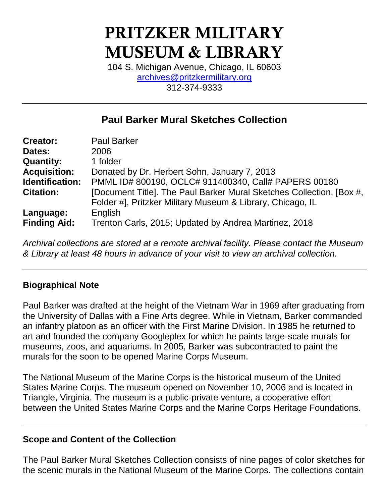# **PRITZKER MILITARY MUSEUM & LIBRARY**

104 S. Michigan Avenue, Chicago, IL 60603 [archives@pritzkermilitary.org](mailto:archives@pritzkermilitary.org) 312-374-9333

# **Paul Barker Mural Sketches Collection**

| <b>Creator:</b>     | <b>Paul Barker</b>                                                   |
|---------------------|----------------------------------------------------------------------|
| Dates:              | 2006                                                                 |
| <b>Quantity:</b>    | 1 folder                                                             |
| <b>Acquisition:</b> | Donated by Dr. Herbert Sohn, January 7, 2013                         |
| Identification:     | PMML ID# 800190, OCLC# 911400340, Call# PAPERS 00180                 |
| <b>Citation:</b>    | [Document Title]. The Paul Barker Mural Sketches Collection, [Box #, |
|                     | Folder #], Pritzker Military Museum & Library, Chicago, IL           |
| Language:           | English                                                              |
| <b>Finding Aid:</b> | Trenton Carls, 2015; Updated by Andrea Martinez, 2018                |

*Archival collections are stored at a remote archival facility. Please contact the Museum & Library at least 48 hours in advance of your visit to view an archival collection.*

#### **Biographical Note**

Paul Barker was drafted at the height of the Vietnam War in 1969 after graduating from the University of Dallas with a Fine Arts degree. While in Vietnam, Barker commanded an infantry platoon as an officer with the First Marine Division. In 1985 he returned to art and founded the company Googleplex for which he paints large-scale murals for museums, zoos, and aquariums. In 2005, Barker was subcontracted to paint the murals for the soon to be opened Marine Corps Museum.

The National Museum of the Marine Corps is the historical museum of the United States Marine Corps. The museum opened on November 10, 2006 and is located in Triangle, Virginia. The museum is a public-private venture, a cooperative effort between the United States Marine Corps and the Marine Corps Heritage Foundations.

#### **Scope and Content of the Collection**

The Paul Barker Mural Sketches Collection consists of nine pages of color sketches for the scenic murals in the National Museum of the Marine Corps. The collections contain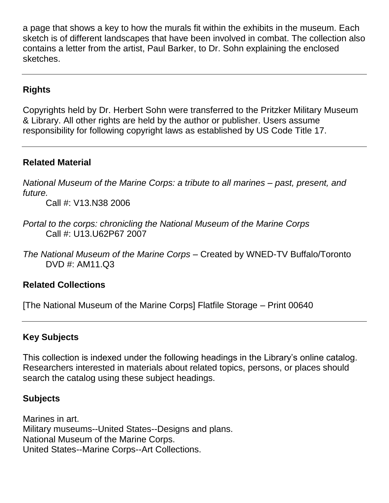a page that shows a key to how the murals fit within the exhibits in the museum. Each sketch is of different landscapes that have been involved in combat. The collection also contains a letter from the artist, Paul Barker, to Dr. Sohn explaining the enclosed sketches.

# **Rights**

Copyrights held by Dr. Herbert Sohn were transferred to the Pritzker Military Museum & Library. All other rights are held by the author or publisher. Users assume responsibility for following copyright laws as established by US Code Title 17.

### **Related Material**

*National Museum of the Marine Corps: a tribute to all marines – past, present, and future.*

Call #: V13.N38 2006

- *Portal to the corps: chronicling the National Museum of the Marine Corps* Call #: U13.U62P67 2007
- *The National Museum of the Marine Corps* Created by WNED-TV Buffalo/Toronto DVD #: AM11.Q3

#### **Related Collections**

[The National Museum of the Marine Corps] Flatfile Storage – Print 00640

# **Key Subjects**

This collection is indexed under the following headings in the Library's online catalog. Researchers interested in materials about related topics, persons, or places should search the catalog using these subject headings.

#### **Subjects**

Marines in art. Military museums--United States--Designs and plans. National Museum of the Marine Corps. United States--Marine Corps--Art Collections.